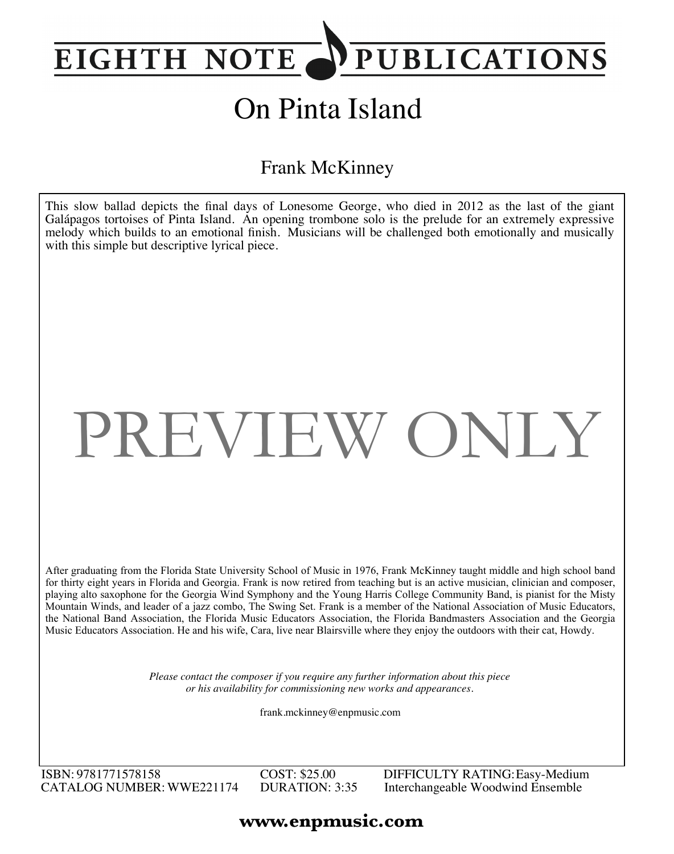### **PUBLICATIONS EIGHTH NOTE**

## On Pinta Island

### Frank McKinney

This slow ballad depicts the final days of Lonesome George, who died in 2012 as the last of the giant Galápagos tortoises of Pinta Island. An opening trombone solo is the prelude for an extremely expressive melody which builds to an emotional finish. Musicians will be challenged both emotionally and musically with this simple but descriptive lyrical piece.

# PREVIEW ONLY

After graduating from the Florida State University School of Music in 1976, Frank McKinney taught middle and high school band for thirty eight years in Florida and Georgia. Frank is now retired from teaching but is an active musician, clinician and composer, playing alto saxophone for the Georgia Wind Symphony and the Young Harris College Community Band, is pianist for the Misty Mountain Winds, and leader of a jazz combo, The Swing Set. Frank is a member of the National Association of Music Educators, the National Band Association, the Florida Music Educators Association, the Florida Bandmasters Association and the Georgia Music Educators Association. He and his wife, Cara, live near Blairsville where they enjoy the outdoors with their cat, Howdy.

> *Please contact the composer if you require any further information about this piece or his availability for commissioning new works and appearances.*

> > frank.mckinney@enpmusic.com

ISBN: 9781771578158 CATALOG NUMBER: WWE221174 COST: \$25.00 DURATION: 3:35 DIFFICULTY RATING:Easy-Medium Interchangeable Woodwind Ensemble

#### **www.enpmusic.com**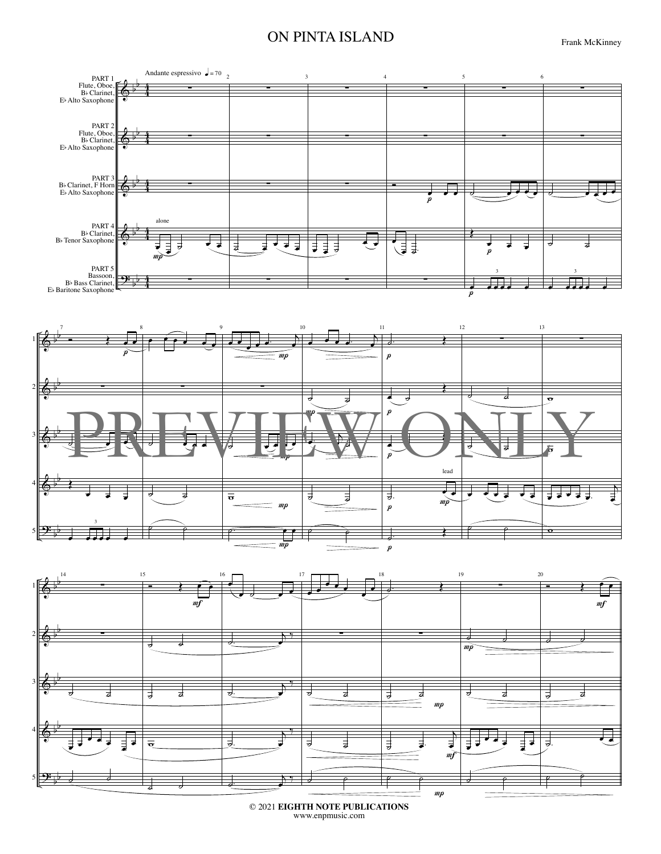#### ON PINTA ISLAND

Frank McKinney



© 2021 **EIGHTH NOTE PUBLICATIONS** www.enpmusic.com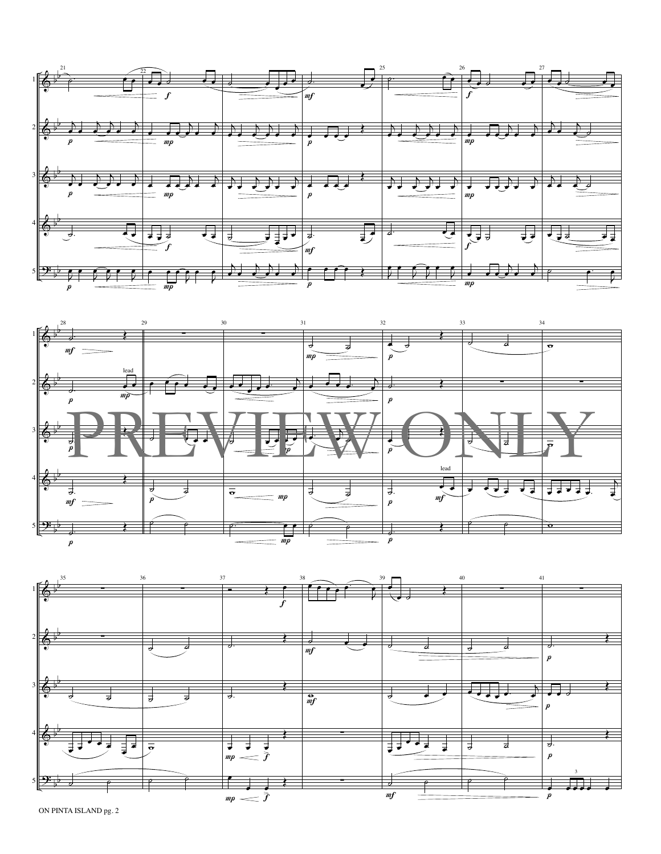





ON PINTA ISLAND pg. 2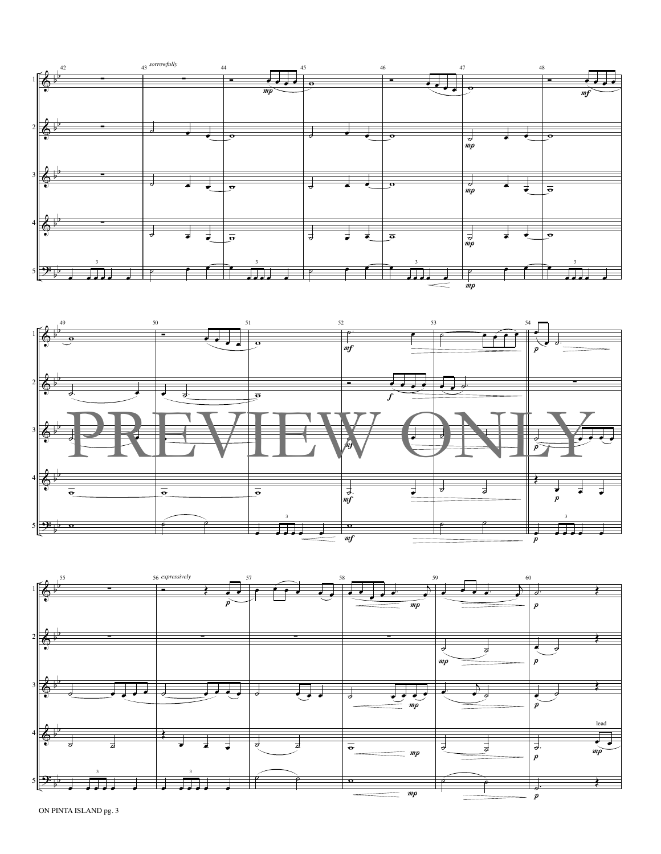





ON PINTA ISLAND pg. 3